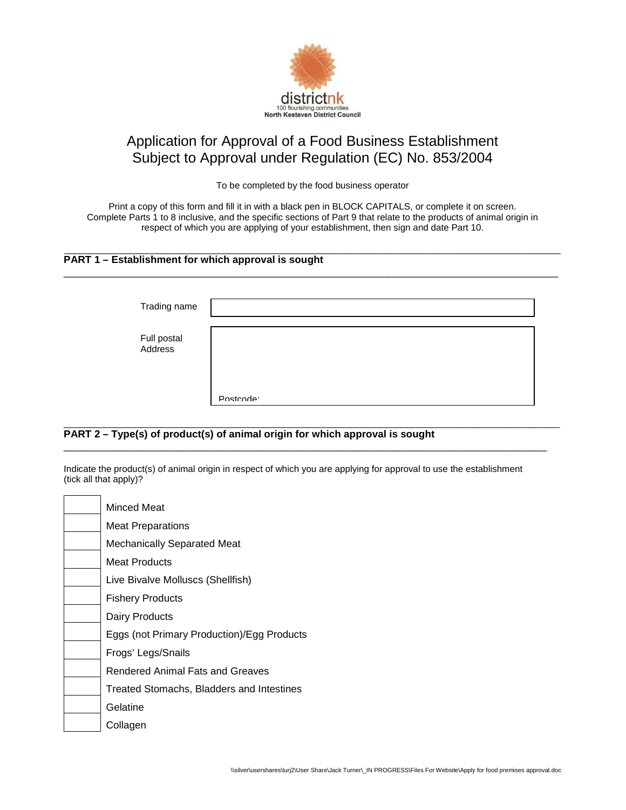

# Application for Approval of a Food Business Establishment Subject to Approval under Regulation (EC) No. 853/2004

To be completed by the food business operator

Print a copy of this form and fill it in with a black pen in BLOCK CAPITALS, or complete it on screen. Complete Parts 1 to 8 inclusive, and the specific sections of Part 9 that relate to the products of animal origin in respect of which you are applying of your establishment, then sign and date Part 10.

 $\overline{\phantom{a}}$  , and the set of the set of the set of the set of the set of the set of the set of the set of the set of the set of the set of the set of the set of the set of the set of the set of the set of the set of the s

\_\_\_\_\_\_\_\_\_\_\_\_\_\_\_\_\_\_\_\_\_\_\_\_\_\_\_\_\_\_\_\_\_\_\_\_\_\_\_\_\_\_\_\_\_\_\_\_\_\_\_\_\_\_\_\_\_\_\_\_\_\_\_\_\_\_\_\_\_\_\_\_\_\_\_\_\_\_\_\_\_\_\_\_\_\_\_

# **PART 1 – Establishment for which approval is sought**

| Trading name           |           |
|------------------------|-----------|
| Full postal<br>Address |           |
|                        | Postcode: |

#### $\_$  ,  $\_$  ,  $\_$  ,  $\_$  ,  $\_$  ,  $\_$  ,  $\_$  ,  $\_$  ,  $\_$  ,  $\_$  ,  $\_$  ,  $\_$  ,  $\_$  ,  $\_$  ,  $\_$  ,  $\_$  ,  $\_$  ,  $\_$  ,  $\_$  ,  $\_$  ,  $\_$  ,  $\_$  ,  $\_$  ,  $\_$  ,  $\_$  ,  $\_$  ,  $\_$  ,  $\_$  ,  $\_$  ,  $\_$  ,  $\_$  ,  $\_$  ,  $\_$  ,  $\_$  ,  $\_$  ,  $\_$  ,  $\_$  , **PART 2 – Type(s) of product(s) of animal origin for which approval is sought**

Indicate the product(s) of animal origin in respect of which you are applying for approval to use the establishment (tick all that apply)?

\_\_\_\_\_\_\_\_\_\_\_\_\_\_\_\_\_\_\_\_\_\_\_\_\_\_\_\_\_\_\_\_\_\_\_\_\_\_\_\_\_\_\_\_\_\_\_\_\_\_\_\_\_\_\_\_\_\_\_\_\_\_\_\_\_\_\_\_\_\_\_\_\_\_\_\_\_\_\_\_\_\_\_\_\_

| Minced Meat                                |
|--------------------------------------------|
| <b>Meat Preparations</b>                   |
| <b>Mechanically Separated Meat</b>         |
| Meat Products                              |
| Live Bivalve Molluscs (Shellfish)          |
| <b>Fishery Products</b>                    |
| Dairy Products                             |
| Eggs (not Primary Production)/Egg Products |
| Frogs' Legs/Snails                         |
| Rendered Animal Fats and Greaves           |
| Treated Stomachs, Bladders and Intestines  |
| Gelatine                                   |
| Collagen                                   |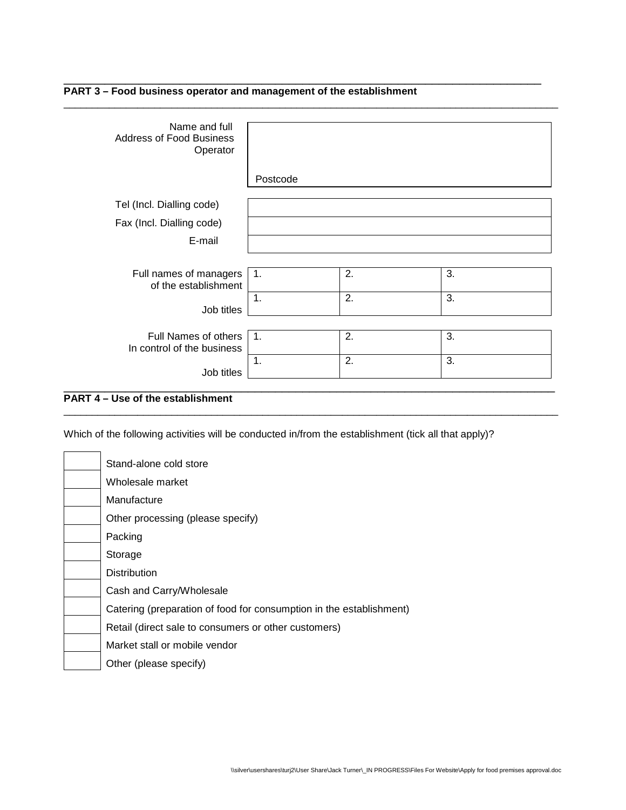

| Name and full<br><b>Address of Food Business</b><br>Operator |                |    |    |
|--------------------------------------------------------------|----------------|----|----|
|                                                              | Postcode       |    |    |
| Tel (Incl. Dialling code)                                    |                |    |    |
| Fax (Incl. Dialling code)                                    |                |    |    |
| E-mail                                                       |                |    |    |
|                                                              |                |    |    |
| Full names of managers<br>of the establishment               | $\mathbf{1}$ . | 2. | 3. |
| Job titles                                                   | $\mathbf 1$ .  | 2. | 3. |
|                                                              |                |    |    |
| Full Names of others<br>In control of the business           | $\mathbf{1}$ . | 2. | 3. |
| Job titles                                                   | 1.             | 2. | 3. |
|                                                              |                |    |    |

\_\_\_\_\_\_\_\_\_\_\_\_\_\_\_\_\_\_\_\_\_\_\_\_\_\_\_\_\_\_\_\_\_\_\_\_\_\_\_\_\_\_\_\_\_\_\_\_\_\_\_\_\_\_\_\_\_\_\_\_\_\_\_\_\_\_\_\_\_\_\_\_\_\_\_\_\_\_\_\_\_\_\_\_\_\_\_

\_\_\_\_\_\_\_\_\_\_\_\_\_\_\_\_\_\_\_\_\_\_\_\_\_\_\_\_\_\_\_\_\_\_\_\_\_\_\_\_\_\_\_\_\_\_\_\_\_\_\_\_\_\_\_\_\_\_\_\_\_\_\_\_\_\_\_\_\_\_\_\_\_\_\_\_\_\_\_\_\_\_\_\_\_\_\_

# **PART 4 – Use of the establishment**

Which of the following activities will be conducted in/from the establishment (tick all that apply)?

| Stand-alone cold store                                              |
|---------------------------------------------------------------------|
| Wholesale market                                                    |
| Manufacture                                                         |
| Other processing (please specify)                                   |
| Packing                                                             |
| Storage                                                             |
| <b>Distribution</b>                                                 |
| Cash and Carry/Wholesale                                            |
| Catering (preparation of food for consumption in the establishment) |
| Retail (direct sale to consumers or other customers)                |
| Market stall or mobile vendor                                       |
| Other (please specify)                                              |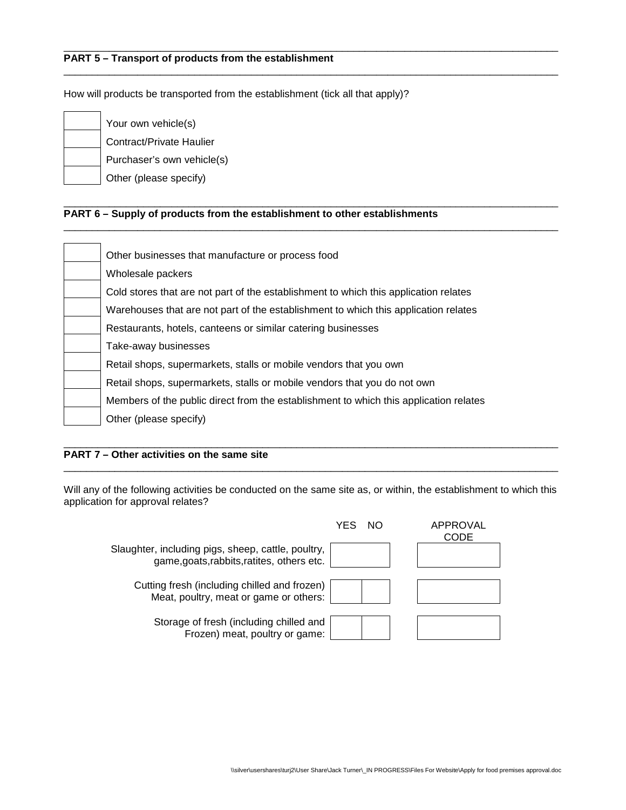# **PART 5 – Transport of products from the establishment**

How will products be transported from the establishment (tick all that apply)?

| Your own vehicle(s)        |
|----------------------------|
| Contract/Private Haulier   |
| Purchaser's own vehicle(s) |
| Other (please specify)     |

#### \_\_\_\_\_\_\_\_\_\_\_\_\_\_\_\_\_\_\_\_\_\_\_\_\_\_\_\_\_\_\_\_\_\_\_\_\_\_\_\_\_\_\_\_\_\_\_\_\_\_\_\_\_\_\_\_\_\_\_\_\_\_\_\_\_\_\_\_\_\_\_\_\_\_\_\_\_\_\_\_\_\_\_\_\_\_\_ **PART 6 – Supply of products from the establishment to other establishments**

| Other businesses that manufacture or process food                                     |
|---------------------------------------------------------------------------------------|
| Wholesale packers                                                                     |
| Cold stores that are not part of the establishment to which this application relates  |
| Warehouses that are not part of the establishment to which this application relates   |
| Restaurants, hotels, canteens or similar catering businesses                          |
| Take-away businesses                                                                  |
| Retail shops, supermarkets, stalls or mobile vendors that you own                     |
| Retail shops, supermarkets, stalls or mobile vendors that you do not own              |
| Members of the public direct from the establishment to which this application relates |
| Other (please specify)                                                                |

\_\_\_\_\_\_\_\_\_\_\_\_\_\_\_\_\_\_\_\_\_\_\_\_\_\_\_\_\_\_\_\_\_\_\_\_\_\_\_\_\_\_\_\_\_\_\_\_\_\_\_\_\_\_\_\_\_\_\_\_\_\_\_\_\_\_\_\_\_\_\_\_\_\_\_\_\_\_\_\_\_\_\_\_\_\_\_

\_\_\_\_\_\_\_\_\_\_\_\_\_\_\_\_\_\_\_\_\_\_\_\_\_\_\_\_\_\_\_\_\_\_\_\_\_\_\_\_\_\_\_\_\_\_\_\_\_\_\_\_\_\_\_\_\_\_\_\_\_\_\_\_\_\_\_\_\_\_\_\_\_\_\_\_\_\_\_\_\_\_\_\_\_\_\_

\_\_\_\_\_\_\_\_\_\_\_\_\_\_\_\_\_\_\_\_\_\_\_\_\_\_\_\_\_\_\_\_\_\_\_\_\_\_\_\_\_\_\_\_\_\_\_\_\_\_\_\_\_\_\_\_\_\_\_\_\_\_\_\_\_\_\_\_\_\_\_\_\_\_\_\_\_\_\_\_\_\_\_\_\_\_\_

#### \_\_\_\_\_\_\_\_\_\_\_\_\_\_\_\_\_\_\_\_\_\_\_\_\_\_\_\_\_\_\_\_\_\_\_\_\_\_\_\_\_\_\_\_\_\_\_\_\_\_\_\_\_\_\_\_\_\_\_\_\_\_\_\_\_\_\_\_\_\_\_\_\_\_\_\_\_\_\_\_\_\_\_\_\_\_\_ **PART 7 – Other activities on the same site**

Will any of the following activities be conducted on the same site as, or within, the establishment to which this application for approval relates?

\_\_\_\_\_\_\_\_\_\_\_\_\_\_\_\_\_\_\_\_\_\_\_\_\_\_\_\_\_\_\_\_\_\_\_\_\_\_\_\_\_\_\_\_\_\_\_\_\_\_\_\_\_\_\_\_\_\_\_\_\_\_\_\_\_\_\_\_\_\_\_\_\_\_\_\_\_\_\_\_\_\_\_\_\_\_\_

|                                                                                                  | YFS | NO. | APPROVAL<br>CODE |
|--------------------------------------------------------------------------------------------------|-----|-----|------------------|
| Slaughter, including pigs, sheep, cattle, poultry,<br>game, goats, rabbits, ratites, others etc. |     |     |                  |
| Cutting fresh (including chilled and frozen)                                                     |     |     |                  |
| Meat, poultry, meat or game or others:<br>Storage of fresh (including chilled and                |     |     |                  |
| Frozen) meat, poultry or game:                                                                   |     |     |                  |
|                                                                                                  |     |     |                  |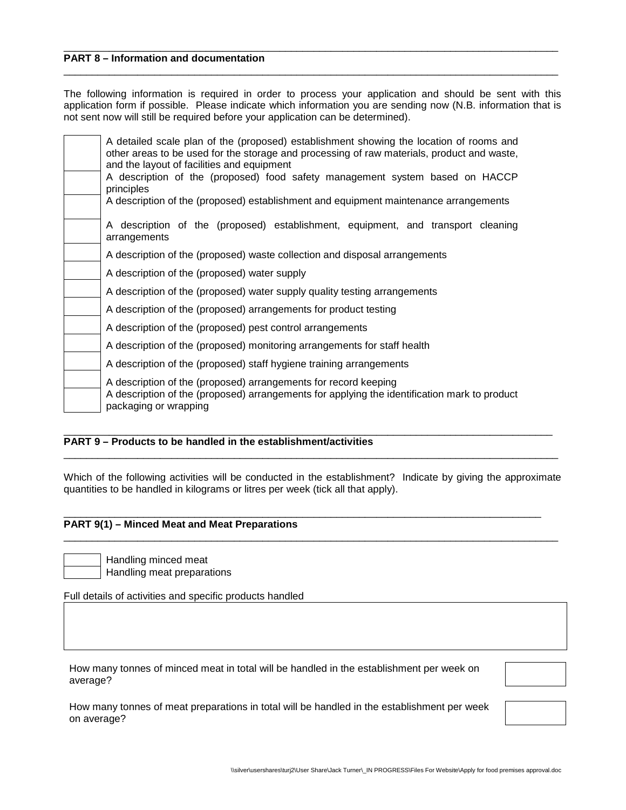# **PART 8 – Information and documentation**

The following information is required in order to process your application and should be sent with this application form if possible. Please indicate which information you are sending now (N.B. information that is not sent now will still be required before your application can be determined).

\_\_\_\_\_\_\_\_\_\_\_\_\_\_\_\_\_\_\_\_\_\_\_\_\_\_\_\_\_\_\_\_\_\_\_\_\_\_\_\_\_\_\_\_\_\_\_\_\_\_\_\_\_\_\_\_\_\_\_\_\_\_\_\_\_\_\_\_\_\_\_\_\_\_\_\_\_\_\_\_\_\_\_\_\_\_\_

\_\_\_\_\_\_\_\_\_\_\_\_\_\_\_\_\_\_\_\_\_\_\_\_\_\_\_\_\_\_\_\_\_\_\_\_\_\_\_\_\_\_\_\_\_\_\_\_\_\_\_\_\_\_\_\_\_\_\_\_\_\_\_\_\_\_\_\_\_\_\_\_\_\_\_\_\_\_\_\_\_\_\_\_\_\_\_

| A detailed scale plan of the (proposed) establishment showing the location of rooms and<br>other areas to be used for the storage and processing of raw materials, product and waste,<br>and the layout of facilities and equipment<br>A description of the (proposed) food safety management system based on HACCP<br>principles<br>A description of the (proposed) establishment and equipment maintenance arrangements |
|---------------------------------------------------------------------------------------------------------------------------------------------------------------------------------------------------------------------------------------------------------------------------------------------------------------------------------------------------------------------------------------------------------------------------|
| A description of the (proposed) establishment, equipment, and transport cleaning<br>arrangements                                                                                                                                                                                                                                                                                                                          |
| A description of the (proposed) waste collection and disposal arrangements                                                                                                                                                                                                                                                                                                                                                |
| A description of the (proposed) water supply                                                                                                                                                                                                                                                                                                                                                                              |
| A description of the (proposed) water supply quality testing arrangements                                                                                                                                                                                                                                                                                                                                                 |
| A description of the (proposed) arrangements for product testing                                                                                                                                                                                                                                                                                                                                                          |
| A description of the (proposed) pest control arrangements                                                                                                                                                                                                                                                                                                                                                                 |
| A description of the (proposed) monitoring arrangements for staff health                                                                                                                                                                                                                                                                                                                                                  |
| A description of the (proposed) staff hygiene training arrangements                                                                                                                                                                                                                                                                                                                                                       |
| A description of the (proposed) arrangements for record keeping<br>A description of the (proposed) arrangements for applying the identification mark to product<br>packaging or wrapping                                                                                                                                                                                                                                  |

#### \_\_\_\_\_\_\_\_\_\_\_\_\_\_\_\_\_\_\_\_\_\_\_\_\_\_\_\_\_\_\_\_\_\_\_\_\_\_\_\_\_\_\_\_\_\_\_\_\_\_\_\_\_\_\_\_\_\_\_\_\_\_\_\_\_\_\_\_\_\_\_\_\_\_\_\_\_\_\_\_\_\_\_\_\_\_ **PART 9 – Products to be handled in the establishment/activities**

Which of the following activities will be conducted in the establishment? Indicate by giving the approximate quantities to be handled in kilograms or litres per week (tick all that apply).

\_\_\_\_\_\_\_\_\_\_\_\_\_\_\_\_\_\_\_\_\_\_\_\_\_\_\_\_\_\_\_\_\_\_\_\_\_\_\_\_\_\_\_\_\_\_\_\_\_\_\_\_\_\_\_\_\_\_\_\_\_\_\_\_\_\_\_\_\_\_\_\_\_\_\_\_\_\_\_\_\_\_\_\_\_\_\_

\_\_\_\_\_\_\_\_\_\_\_\_\_\_\_\_\_\_\_\_\_\_\_\_\_\_\_\_\_\_\_\_\_\_\_\_\_\_\_\_\_\_\_\_\_\_\_\_\_\_\_\_\_\_\_\_\_\_\_\_\_\_\_\_\_\_\_\_\_\_\_\_\_\_\_\_\_\_\_\_\_\_\_\_\_\_\_

#### \_\_\_\_\_\_\_\_\_\_\_\_\_\_\_\_\_\_\_\_\_\_\_\_\_\_\_\_\_\_\_\_\_\_\_\_\_\_\_\_\_\_\_\_\_\_\_\_\_\_\_\_\_\_\_\_\_\_\_\_\_\_\_\_\_\_\_\_\_\_\_\_\_\_\_\_\_\_\_\_\_\_\_\_ **PART 9(1) – Minced Meat and Meat Preparations**

Handling minced meat Handling meat preparations

Full details of activities and specific products handled

How many tonnes of minced meat in total will be handled in the establishment per week on average?

How many tonnes of meat preparations in total will be handled in the establishment per week on average?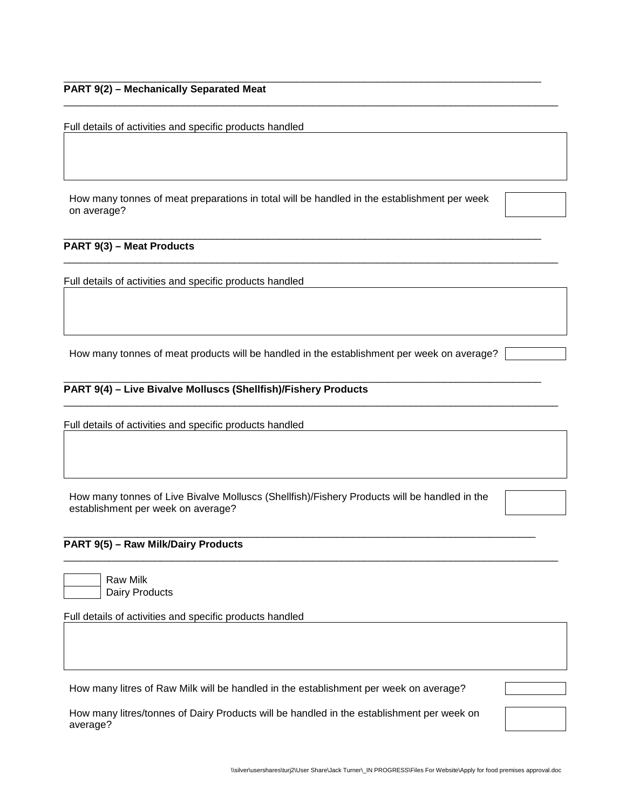#### \_\_\_\_\_\_\_\_\_\_\_\_\_\_\_\_\_\_\_\_\_\_\_\_\_\_\_\_\_\_\_\_\_\_\_\_\_\_\_\_\_\_\_\_\_\_\_\_\_\_\_\_\_\_\_\_\_\_\_\_\_\_\_\_\_\_\_\_\_\_\_\_\_\_\_\_\_\_\_\_\_\_\_\_ **PART 9(2) – Mechanically Separated Meat**

Full details of activities and specific products handled

How many tonnes of meat preparations in total will be handled in the establishment per week on average?

\_\_\_\_\_\_\_\_\_\_\_\_\_\_\_\_\_\_\_\_\_\_\_\_\_\_\_\_\_\_\_\_\_\_\_\_\_\_\_\_\_\_\_\_\_\_\_\_\_\_\_\_\_\_\_\_\_\_\_\_\_\_\_\_\_\_\_\_\_\_\_\_\_\_\_\_\_\_\_\_\_\_\_\_

\_\_\_\_\_\_\_\_\_\_\_\_\_\_\_\_\_\_\_\_\_\_\_\_\_\_\_\_\_\_\_\_\_\_\_\_\_\_\_\_\_\_\_\_\_\_\_\_\_\_\_\_\_\_\_\_\_\_\_\_\_\_\_\_\_\_\_\_\_\_\_\_\_\_\_\_\_\_\_\_\_\_\_\_\_\_\_

\_\_\_\_\_\_\_\_\_\_\_\_\_\_\_\_\_\_\_\_\_\_\_\_\_\_\_\_\_\_\_\_\_\_\_\_\_\_\_\_\_\_\_\_\_\_\_\_\_\_\_\_\_\_\_\_\_\_\_\_\_\_\_\_\_\_\_\_\_\_\_\_\_\_\_\_\_\_\_\_\_\_\_\_\_\_\_

### **PART 9(3) – Meat Products**

Full details of activities and specific products handled

How many tonnes of meat products will be handled in the establishment per week on average?

\_\_\_\_\_\_\_\_\_\_\_\_\_\_\_\_\_\_\_\_\_\_\_\_\_\_\_\_\_\_\_\_\_\_\_\_\_\_\_\_\_\_\_\_\_\_\_\_\_\_\_\_\_\_\_\_\_\_\_\_\_\_\_\_\_\_\_\_\_\_\_\_\_\_\_\_\_\_\_\_\_\_\_\_

\_\_\_\_\_\_\_\_\_\_\_\_\_\_\_\_\_\_\_\_\_\_\_\_\_\_\_\_\_\_\_\_\_\_\_\_\_\_\_\_\_\_\_\_\_\_\_\_\_\_\_\_\_\_\_\_\_\_\_\_\_\_\_\_\_\_\_\_\_\_\_\_\_\_\_\_\_\_\_\_\_\_\_\_\_\_\_

## **PART 9(4) – Live Bivalve Molluscs (Shellfish)/Fishery Products**

Full details of activities and specific products handled

How many tonnes of Live Bivalve Molluscs (Shellfish)/Fishery Products will be handled in the establishment per week on average?

\_\_\_\_\_\_\_\_\_\_\_\_\_\_\_\_\_\_\_\_\_\_\_\_\_\_\_\_\_\_\_\_\_\_\_\_\_\_\_\_\_\_\_\_\_\_\_\_\_\_\_\_\_\_\_\_\_\_\_\_\_\_\_\_\_\_\_\_\_\_\_\_\_\_\_\_\_\_\_\_\_\_\_

\_\_\_\_\_\_\_\_\_\_\_\_\_\_\_\_\_\_\_\_\_\_\_\_\_\_\_\_\_\_\_\_\_\_\_\_\_\_\_\_\_\_\_\_\_\_\_\_\_\_\_\_\_\_\_\_\_\_\_\_\_\_\_\_\_\_\_\_\_\_\_\_\_\_\_\_\_\_\_\_\_\_\_\_\_\_\_

# **PART 9(5) – Raw Milk/Dairy Products**

Raw Milk Dairy Products

Full details of activities and specific products handled

How many litres of Raw Milk will be handled in the establishment per week on average?

How many litres/tonnes of Dairy Products will be handled in the establishment per week on average?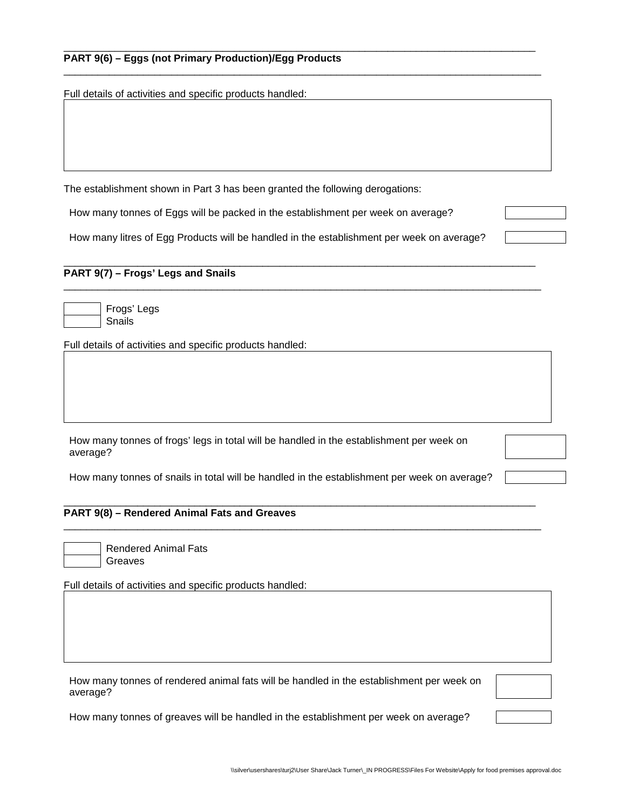# **PART 9(6) – Eggs (not Primary Production)/Egg Products**

Full details of activities and specific products handled:

The establishment shown in Part 3 has been granted the following derogations:

How many tonnes of Eggs will be packed in the establishment per week on average?

How many litres of Egg Products will be handled in the establishment per week on average?

\_\_\_\_\_\_\_\_\_\_\_\_\_\_\_\_\_\_\_\_\_\_\_\_\_\_\_\_\_\_\_\_\_\_\_\_\_\_\_\_\_\_\_\_\_\_\_\_\_\_\_\_\_\_\_\_\_\_\_\_\_\_\_\_\_\_\_\_\_\_\_\_\_\_\_\_\_\_\_\_\_\_\_

\_\_\_\_\_\_\_\_\_\_\_\_\_\_\_\_\_\_\_\_\_\_\_\_\_\_\_\_\_\_\_\_\_\_\_\_\_\_\_\_\_\_\_\_\_\_\_\_\_\_\_\_\_\_\_\_\_\_\_\_\_\_\_\_\_\_\_\_\_\_\_\_\_\_\_\_\_\_\_\_\_\_\_\_

\_\_\_\_\_\_\_\_\_\_\_\_\_\_\_\_\_\_\_\_\_\_\_\_\_\_\_\_\_\_\_\_\_\_\_\_\_\_\_\_\_\_\_\_\_\_\_\_\_\_\_\_\_\_\_\_\_\_\_\_\_\_\_\_\_\_\_\_\_\_\_\_\_\_\_\_\_\_\_\_\_\_\_

\_\_\_\_\_\_\_\_\_\_\_\_\_\_\_\_\_\_\_\_\_\_\_\_\_\_\_\_\_\_\_\_\_\_\_\_\_\_\_\_\_\_\_\_\_\_\_\_\_\_\_\_\_\_\_\_\_\_\_\_\_\_\_\_\_\_\_\_\_\_\_\_\_\_\_\_\_\_\_\_\_\_\_\_

# **PART 9(7) – Frogs' Legs and Snails**

Frogs' Legs **Snails** 

Full details of activities and specific products handled:

| How many tonnes of frogs' legs in total will be handled in the establishment per week on |  |  |
|------------------------------------------------------------------------------------------|--|--|
| average?                                                                                 |  |  |

How many tonnes of snails in total will be handled in the establishment per week on average?

\_\_\_\_\_\_\_\_\_\_\_\_\_\_\_\_\_\_\_\_\_\_\_\_\_\_\_\_\_\_\_\_\_\_\_\_\_\_\_\_\_\_\_\_\_\_\_\_\_\_\_\_\_\_\_\_\_\_\_\_\_\_\_\_\_\_\_\_\_\_\_\_\_\_\_\_\_\_\_\_\_\_\_\_

#### \_\_\_\_\_\_\_\_\_\_\_\_\_\_\_\_\_\_\_\_\_\_\_\_\_\_\_\_\_\_\_\_\_\_\_\_\_\_\_\_\_\_\_\_\_\_\_\_\_\_\_\_\_\_\_\_\_\_\_\_\_\_\_\_\_\_\_\_\_\_\_\_\_\_\_\_\_\_\_\_\_\_\_ **PART 9(8) – Rendered Animal Fats and Greaves**

|  | and the control of the control of the                                           |  |
|--|---------------------------------------------------------------------------------|--|
|  |                                                                                 |  |
|  |                                                                                 |  |
|  |                                                                                 |  |
|  | the contract of the contract of the contract of the contract of the contract of |  |

Rendered Animal Fats Greaves

Full details of activities and specific products handled:

|          |  |  |  | How many tonnes of rendered animal fats will be handled in the establishment per week on |  |
|----------|--|--|--|------------------------------------------------------------------------------------------|--|
| average? |  |  |  |                                                                                          |  |

How many tonnes of greaves will be handled in the establishment per week on average?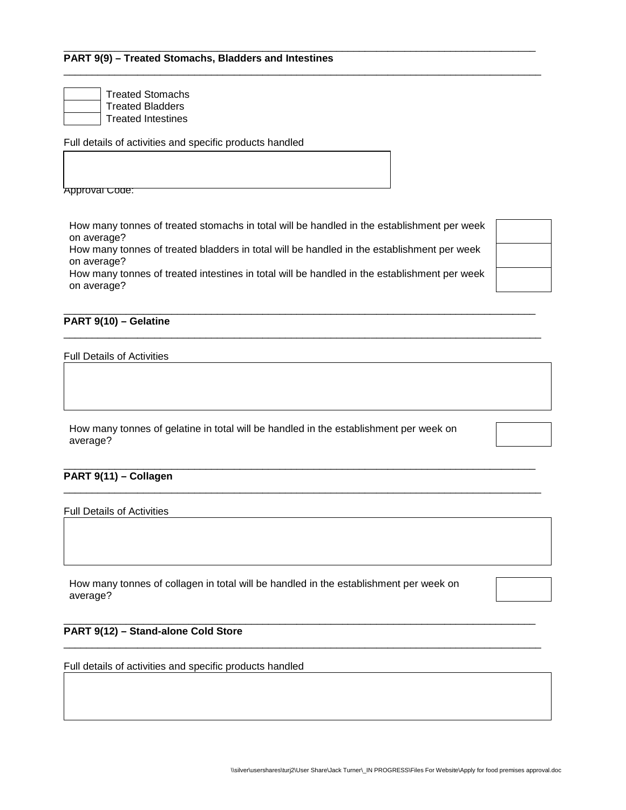Treated Stomachs Treated Bladders Treated Intestines

Full details of activities and specific products handled

**Approval Code:** 

How many tonnes of treated stomachs in total will be handled in the establishment per week on average?

\_\_\_\_\_\_\_\_\_\_\_\_\_\_\_\_\_\_\_\_\_\_\_\_\_\_\_\_\_\_\_\_\_\_\_\_\_\_\_\_\_\_\_\_\_\_\_\_\_\_\_\_\_\_\_\_\_\_\_\_\_\_\_\_\_\_\_\_\_\_\_\_\_\_\_\_\_\_\_\_\_\_\_\_

How many tonnes of treated bladders in total will be handled in the establishment per week on average?

How many tonnes of treated intestines in total will be handled in the establishment per week on average?

\_\_\_\_\_\_\_\_\_\_\_\_\_\_\_\_\_\_\_\_\_\_\_\_\_\_\_\_\_\_\_\_\_\_\_\_\_\_\_\_\_\_\_\_\_\_\_\_\_\_\_\_\_\_\_\_\_\_\_\_\_\_\_\_\_\_\_\_\_\_\_\_\_\_\_\_\_\_\_\_\_\_\_\_

\_\_\_\_\_\_\_\_\_\_\_\_\_\_\_\_\_\_\_\_\_\_\_\_\_\_\_\_\_\_\_\_\_\_\_\_\_\_\_\_\_\_\_\_\_\_\_\_\_\_\_\_\_\_\_\_\_\_\_\_\_\_\_\_\_\_\_\_\_\_\_\_\_\_\_\_\_\_\_\_\_\_\_

\_\_\_\_\_\_\_\_\_\_\_\_\_\_\_\_\_\_\_\_\_\_\_\_\_\_\_\_\_\_\_\_\_\_\_\_\_\_\_\_\_\_\_\_\_\_\_\_\_\_\_\_\_\_\_\_\_\_\_\_\_\_\_\_\_\_\_\_\_\_\_\_\_\_\_\_\_\_\_\_\_\_\_\_

\_\_\_\_\_\_\_\_\_\_\_\_\_\_\_\_\_\_\_\_\_\_\_\_\_\_\_\_\_\_\_\_\_\_\_\_\_\_\_\_\_\_\_\_\_\_\_\_\_\_\_\_\_\_\_\_\_\_\_\_\_\_\_\_\_\_\_\_\_\_\_\_\_\_\_\_\_\_\_\_\_\_\_\_

| PART 9(10) - Gelatine |  |  |
|-----------------------|--|--|

Full Details of Activities

How many tonnes of gelatine in total will be handled in the establishment per week on average?

# **PART 9(11) – Collagen**

Full Details of Activities

How many tonnes of collagen in total will be handled in the establishment per week on average?

#### \_\_\_\_\_\_\_\_\_\_\_\_\_\_\_\_\_\_\_\_\_\_\_\_\_\_\_\_\_\_\_\_\_\_\_\_\_\_\_\_\_\_\_\_\_\_\_\_\_\_\_\_\_\_\_\_\_\_\_\_\_\_\_\_\_\_\_\_\_\_\_\_\_\_\_\_\_\_\_\_\_\_\_ **PART 9(12) – Stand-alone Cold Store**

Full details of activities and specific products handled